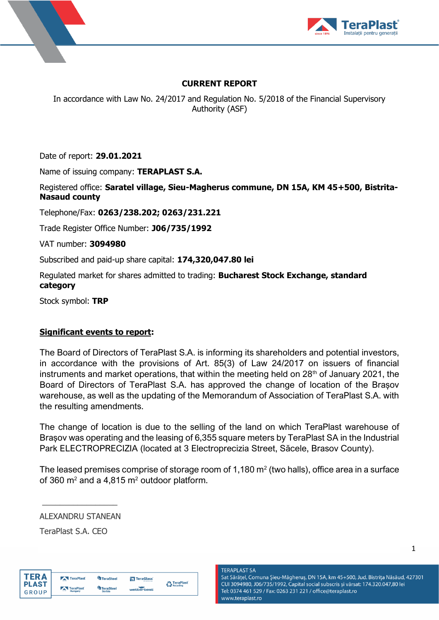



## **CURRENT REPORT**

In accordance with Law No. 24/2017 and Regulation No. 5/2018 of the Financial Supervisory Authority (ASF)

Date of report: **29.01.2021**

Name of issuing company: **TERAPLAST S.A.**

Registered office: **Saratel village, Sieu-Magherus commune, DN 15A, KM 45+500, Bistrita-Nasaud county**

Telephone/Fax: **0263/238.202; 0263/231.221**

Trade Register Office Number: **J06/735/1992**

VAT number: **3094980**

Subscribed and paid-up share capital: **174,320,047.80 lei**

Regulated market for shares admitted to trading: **Bucharest Stock Exchange, standard category**

Stock symbol: **TRP**

## **Significant events to report:**

The Board of Directors of TeraPlast S.A. is informing its shareholders and potential investors, in accordance with the provisions of Art. 85(3) of Law 24/2017 on issuers of financial instruments and market operations, that within the meeting held on  $28<sup>th</sup>$  of January 2021, the Board of Directors of TeraPlast S.A. has approved the change of location of the Brașov warehouse, as well as the updating of the Memorandum of Association of TeraPlast S.A. with the resulting amendments.

The change of location is due to the selling of the land on which TeraPlast warehouse of Brașov was operating and the leasing of 6,355 square meters by TeraPlast SA in the Industrial Park ELECTROPRECIZIA (located at 3 Electroprecizia Street, Săcele, Brasov County).

The leased premises comprise of storage room of 1,180  $m<sup>2</sup>$  (two halls), office area in a surface of 360  $m^2$  and a 4,815  $m^2$  outdoor platform.

ALEXANDRU STANEAN

 $\frac{1}{2}$  ,  $\frac{1}{2}$  ,  $\frac{1}{2}$  ,  $\frac{1}{2}$  ,  $\frac{1}{2}$  ,  $\frac{1}{2}$  ,  $\frac{1}{2}$  ,  $\frac{1}{2}$  ,  $\frac{1}{2}$  ,  $\frac{1}{2}$ 

TeraPlast S.A. CEO



**TERAPLAST SA** Sat Sărățel, Comuna Șieu-Măgheruș, DN 15A, km 45+500, Jud. Bistrița Năsăud, 427301 CUI 3094980, J06/735/1992, Capital social subscris și vărsat: 174.320.047,80 lei Tel: 0374 461 529 / Fax: 0263 231 221 / office@teraplast.ro www.teraplast.ro